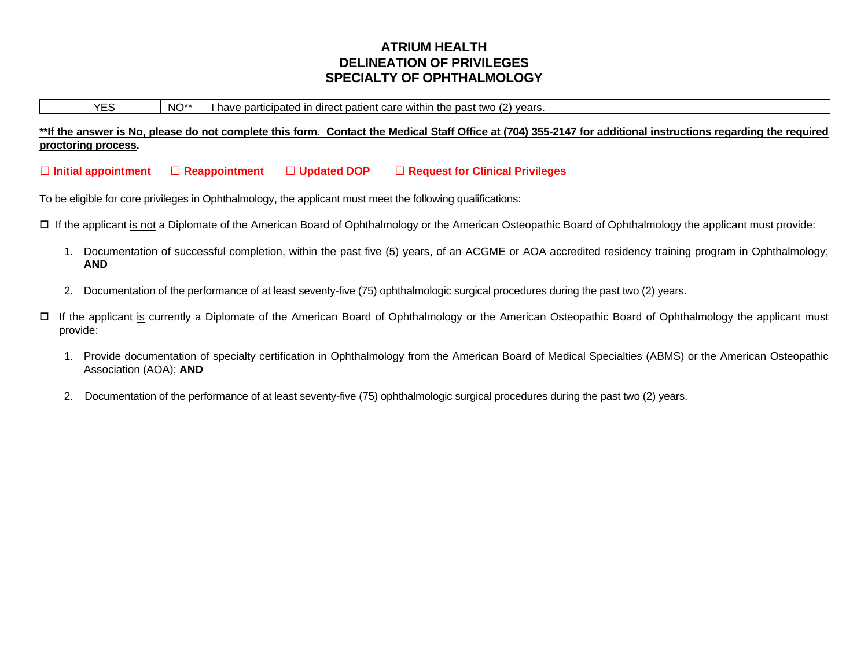# **ATRIUM HEALTH DELINEATION OF PRIVILEGES SPECIALTY OF OPHTHALMOLOGY**

 $YES$   $\vert$   $NO^{**}$  I have participated in direct patient care within the past two (2) years.

**\*\*If the answer is No, please do not complete this form. Contact the Medical Staff Office at (704) 355-2147 for additional instructions regarding the required proctoring process.** 

**Initial appointment Reappointment Updated DOP Request for Clinical Privileges**

To be eligible for core privileges in Ophthalmology, the applicant must meet the following qualifications:

If the applicant is not a Diplomate of the American Board of Ophthalmology or the American Osteopathic Board of Ophthalmology the applicant must provide:

- 1. Documentation of successful completion, within the past five (5) years, of an ACGME or AOA accredited residency training program in Ophthalmology; **AND**
- 2. Documentation of the performance of at least seventy-five (75) ophthalmologic surgical procedures during the past two (2) years.
- If the applicant is currently a Diplomate of the American Board of Ophthalmology or the American Osteopathic Board of Ophthalmology the applicant must provide:
	- 1. Provide documentation of specialty certification in Ophthalmology from the American Board of Medical Specialties (ABMS) or the American Osteopathic Association (AOA); **AND**
	- 2. Documentation of the performance of at least seventy-five (75) ophthalmologic surgical procedures during the past two (2) years.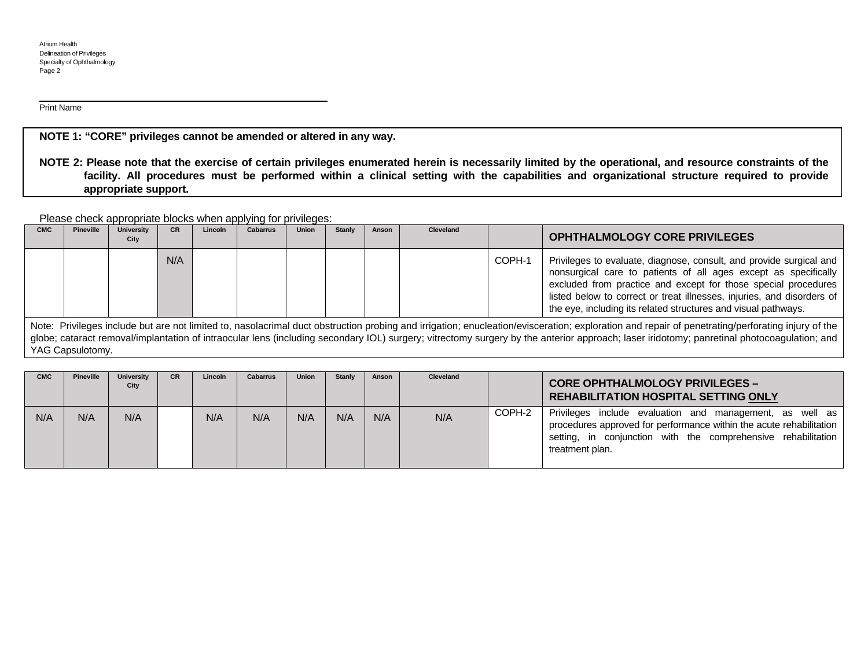l Print Name

**NOTE 1: "CORE" privileges cannot be amended or altered in any way.**

**NOTE 2: Please note that the exercise of certain privileges enumerated herein is necessarily limited by the operational, and resource constraints of the facility. All procedures must be performed within a clinical setting with the capabilities and organizational structure required to provide appropriate support.**

Please check appropriate blocks when applying for privileges:

| <b>CMC</b> | Pineville | <b>University</b><br>City | <b>CR</b> | Lincoln | <b>Cabarrus</b> | <b>Union</b> | <b>Stanly</b> | Anson | Cleveland |        | <b>OPHTHALMOLOGY CORE PRIVILEGES</b>                                                                                                                                                                                                                                                                                                                 |
|------------|-----------|---------------------------|-----------|---------|-----------------|--------------|---------------|-------|-----------|--------|------------------------------------------------------------------------------------------------------------------------------------------------------------------------------------------------------------------------------------------------------------------------------------------------------------------------------------------------------|
|            |           |                           | N/A       |         |                 |              |               |       |           | COPH-1 | Privileges to evaluate, diagnose, consult, and provide surgical and<br>nonsurgical care to patients of all ages except as specifically<br>excluded from practice and except for those special procedures<br>listed below to correct or treat illnesses, injuries, and disorders of<br>the eye, including its related structures and visual pathways. |

Note: Privileges include but are not limited to, nasolacrimal duct obstruction probing and irrigation; enucleation/evisceration; exploration and repair of penetrating/perforating injury of the globe; cataract removal/implantation of intraocular lens (including secondary IOL) surgery; vitrectomy surgery by the anterior approach; laser iridotomy; panretinal photocoagulation; and YAG Capsulotomy.

| <b>CMC</b> | Pineville | <b>University</b><br>City | <b>CR</b> | Lincoln | <b>Cabarrus</b> | <b>Union</b> | Stanly | Anson | Cleveland |        | <b>CORE OPHTHALMOLOGY PRIVILEGES -</b><br><b>REHABILITATION HOSPITAL SETTING ONLY</b>                                                                                                                                  |
|------------|-----------|---------------------------|-----------|---------|-----------------|--------------|--------|-------|-----------|--------|------------------------------------------------------------------------------------------------------------------------------------------------------------------------------------------------------------------------|
| N/A        | N/A       | N/A                       |           | N/A     | N/A             | N/A          | N/A    | N/A   | N/A       | COPH-2 | Privileges<br>include evaluation and management, as well as<br>procedures approved for performance within the acute rehabilitation<br>setting, in conjunction with the comprehensive rehabilitation<br>treatment plan. |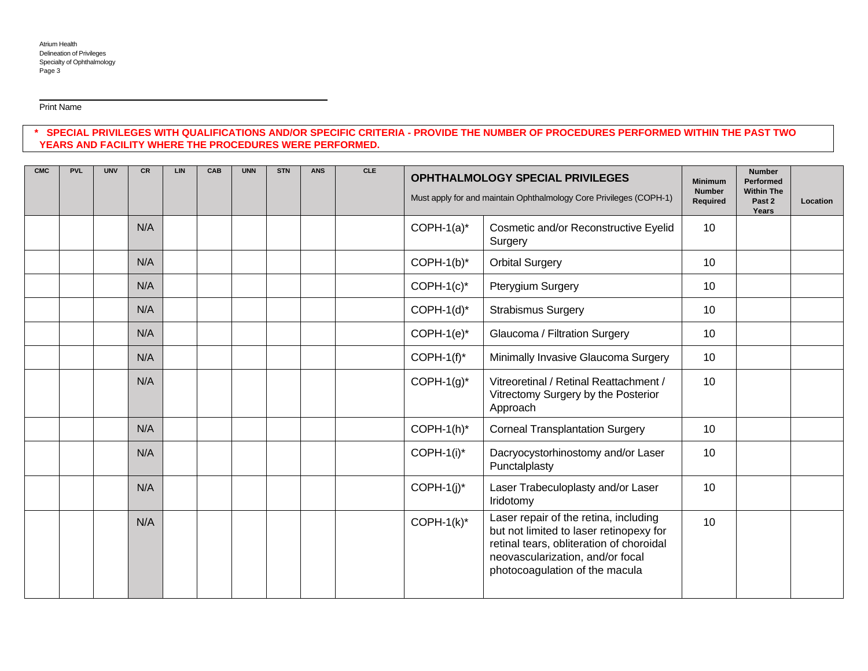Print Name

 $\ddot{\phantom{a}}$ 

# **\* SPECIAL PRIVILEGES WITH QUALIFICATIONS AND/OR SPECIFIC CRITERIA - PROVIDE THE NUMBER OF PROCEDURES PERFORMED WITHIN THE PAST TWO YEARS AND FACILITY WHERE THE PROCEDURES WERE PERFORMED.**

| <b>CMC</b> | <b>PVL</b> | <b>UNV</b> | <b>CR</b> | LIN | CAB | <b>UNN</b> | <b>STN</b> | <b>ANS</b> | <b>CLE</b> | <b>OPHTHALMOLOGY SPECIAL PRIVILEGES</b><br>Must apply for and maintain Ophthalmology Core Privileges (COPH-1) |                                                                                                                                                                                                    | <b>Minimum</b><br><b>Number</b><br>Required | <b>Number</b><br>Performed<br><b>Within The</b><br>Past 2<br>Years | Location |
|------------|------------|------------|-----------|-----|-----|------------|------------|------------|------------|---------------------------------------------------------------------------------------------------------------|----------------------------------------------------------------------------------------------------------------------------------------------------------------------------------------------------|---------------------------------------------|--------------------------------------------------------------------|----------|
|            |            |            | N/A       |     |     |            |            |            |            | $COPH-1(a)^*$                                                                                                 | Cosmetic and/or Reconstructive Eyelid<br>Surgery                                                                                                                                                   | 10                                          |                                                                    |          |
|            |            |            | N/A       |     |     |            |            |            |            | $COPH-1(b)^*$                                                                                                 | <b>Orbital Surgery</b>                                                                                                                                                                             | 10                                          |                                                                    |          |
|            |            |            | N/A       |     |     |            |            |            |            | $COPH-1(c)*$                                                                                                  | Pterygium Surgery                                                                                                                                                                                  | 10                                          |                                                                    |          |
|            |            |            | N/A       |     |     |            |            |            |            | $COPH-1(d)^*$                                                                                                 | <b>Strabismus Surgery</b>                                                                                                                                                                          | 10                                          |                                                                    |          |
|            |            |            | N/A       |     |     |            |            |            |            | $COPH-1(e)^*$                                                                                                 | Glaucoma / Filtration Surgery                                                                                                                                                                      | 10                                          |                                                                    |          |
|            |            |            | N/A       |     |     |            |            |            |            | COPH-1 $(f)^*$                                                                                                | Minimally Invasive Glaucoma Surgery                                                                                                                                                                | 10                                          |                                                                    |          |
|            |            |            | N/A       |     |     |            |            |            |            | $COPH-1(g)^*$                                                                                                 | Vitreoretinal / Retinal Reattachment /<br>Vitrectomy Surgery by the Posterior<br>Approach                                                                                                          | 10                                          |                                                                    |          |
|            |            |            | N/A       |     |     |            |            |            |            | $COPH-1(h)^*$                                                                                                 | <b>Corneal Transplantation Surgery</b>                                                                                                                                                             | 10                                          |                                                                    |          |
|            |            |            | N/A       |     |     |            |            |            |            | $COPH-1(i)^*$                                                                                                 | Dacryocystorhinostomy and/or Laser<br>Punctalplasty                                                                                                                                                | 10                                          |                                                                    |          |
|            |            |            | N/A       |     |     |            |            |            |            | $COPH-1(j)^*$                                                                                                 | Laser Trabeculoplasty and/or Laser<br>Iridotomy                                                                                                                                                    | 10                                          |                                                                    |          |
|            |            |            | N/A       |     |     |            |            |            |            | $COPH-1(k)^*$                                                                                                 | Laser repair of the retina, including<br>but not limited to laser retinopexy for<br>retinal tears, obliteration of choroidal<br>neovascularization, and/or focal<br>photocoagulation of the macula | 10                                          |                                                                    |          |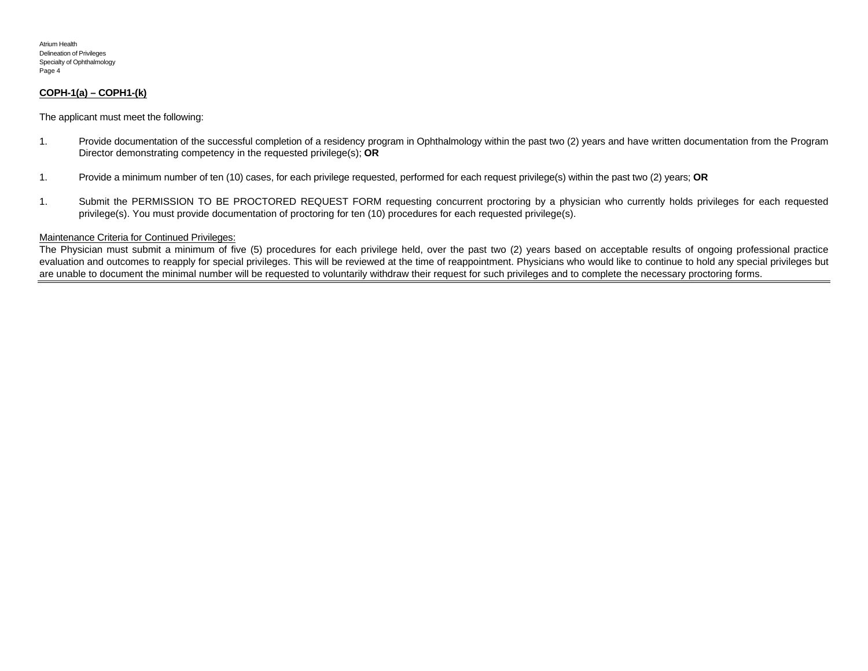#### **COPH-1(a) – COPH1-(k)**

The applicant must meet the following:

- 1. Provide documentation of the successful completion of a residency program in Ophthalmology within the past two (2) years and have written documentation from the Program Director demonstrating competency in the requested privilege(s); **OR**
- 1. Provide a minimum number of ten (10) cases, for each privilege requested, performed for each request privilege(s) within the past two (2) years; **OR**
- 1. Submit the PERMISSION TO BE PROCTORED REQUEST FORM requesting concurrent proctoring by a physician who currently holds privileges for each requested privilege(s). You must provide documentation of proctoring for ten (10) procedures for each requested privilege(s).

#### Maintenance Criteria for Continued Privileges:

The Physician must submit a minimum of five (5) procedures for each privilege held, over the past two (2) years based on acceptable results of ongoing professional practice evaluation and outcomes to reapply for special privileges. This will be reviewed at the time of reappointment. Physicians who would like to continue to hold any special privileges but are unable to document the minimal number will be requested to voluntarily withdraw their request for such privileges and to complete the necessary proctoring forms.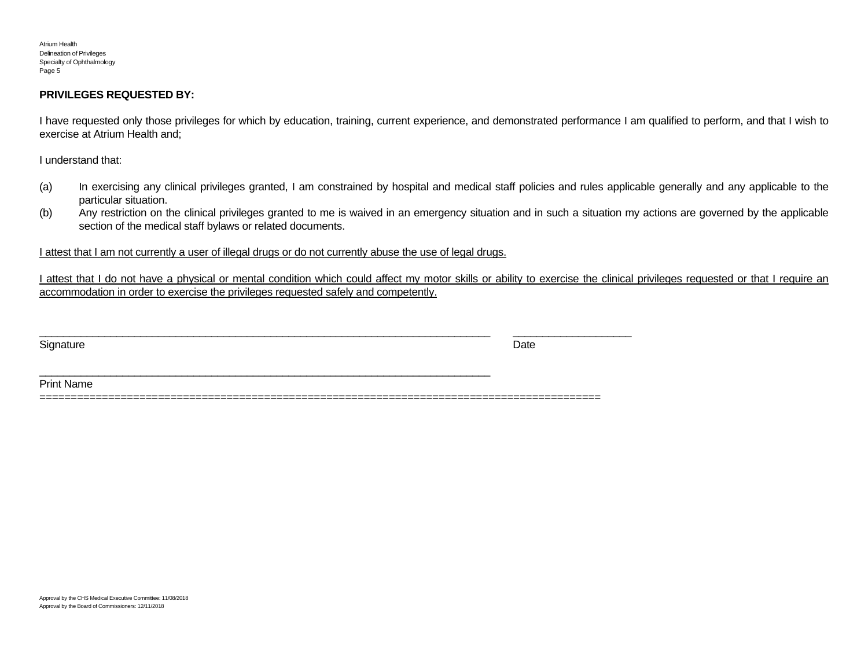### **PRIVILEGES REQUESTED BY:**

I have requested only those privileges for which by education, training, current experience, and demonstrated performance I am qualified to perform, and that I wish to exercise at Atrium Health and;

I understand that:

- (a) In exercising any clinical privileges granted, I am constrained by hospital and medical staff policies and rules applicable generally and any applicable to the particular situation.
- (b) Any restriction on the clinical privileges granted to me is waived in an emergency situation and in such a situation my actions are governed by the applicable section of the medical staff bylaws or related documents.

## I attest that I am not currently a user of illegal drugs or do not currently abuse the use of legal drugs.

 $\overline{\phantom{a}}$  , and the contribution of the contribution of the contribution of the contribution of the contribution of the contribution of the contribution of the contribution of the contribution of the contribution of the

I attest that I do not have a physical or mental condition which could affect my motor skills or ability to exercise the clinical privileges requested or that I require an accommodation in order to exercise the privileges requested safely and competently.

Signature **Date** 

Print Name

==========================================================================================

\_\_\_\_\_\_\_\_\_\_\_\_\_\_\_\_\_\_\_\_\_\_\_\_\_\_\_\_\_\_\_\_\_\_\_\_\_\_\_\_\_\_\_\_\_\_\_\_\_\_\_\_\_\_\_\_\_\_\_\_\_\_\_\_\_\_\_\_\_\_\_\_\_\_\_\_ \_\_\_\_\_\_\_\_\_\_\_\_\_\_\_\_\_\_\_\_